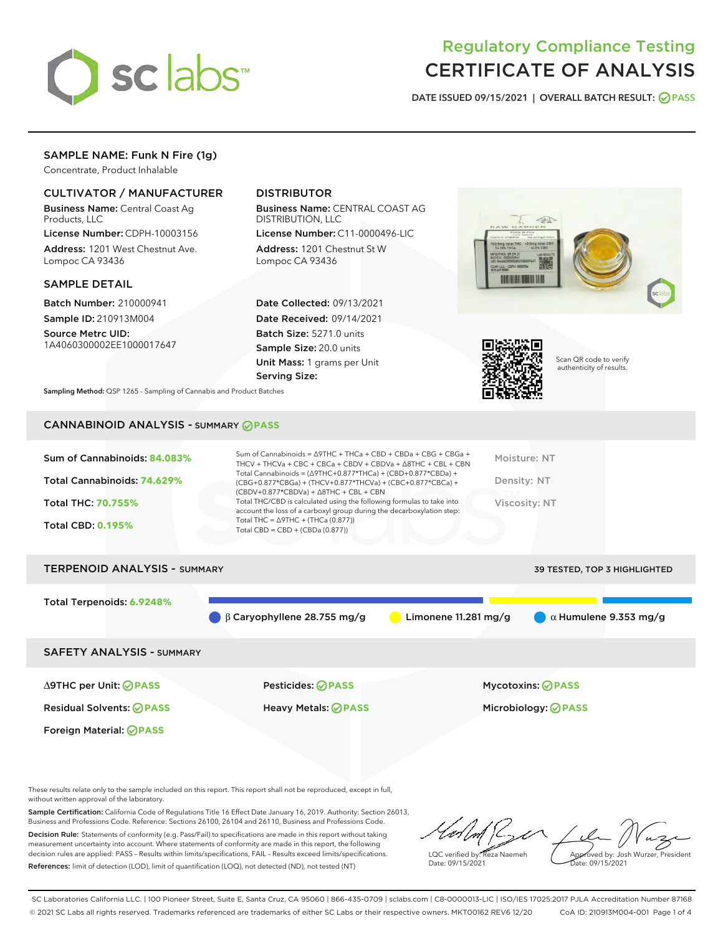

# Regulatory Compliance Testing CERTIFICATE OF ANALYSIS

DATE ISSUED 09/15/2021 | OVERALL BATCH RESULT: @ PASS

## SAMPLE NAME: Funk N Fire (1g)

Concentrate, Product Inhalable

### CULTIVATOR / MANUFACTURER

Business Name: Central Coast Ag Products, LLC

License Number: CDPH-10003156 Address: 1201 West Chestnut Ave. Lompoc CA 93436

#### SAMPLE DETAIL

Batch Number: 210000941 Sample ID: 210913M004

Source Metrc UID: 1A4060300002EE1000017647

## DISTRIBUTOR

Business Name: CENTRAL COAST AG DISTRIBUTION, LLC

License Number: C11-0000496-LIC Address: 1201 Chestnut St W Lompoc CA 93436

Date Collected: 09/13/2021 Date Received: 09/14/2021 Batch Size: 5271.0 units Sample Size: 20.0 units Unit Mass: 1 grams per Unit Serving Size:





Scan QR code to verify authenticity of results.

Sampling Method: QSP 1265 - Sampling of Cannabis and Product Batches

# CANNABINOID ANALYSIS - SUMMARY **PASS**

| Sum of Cannabinoids: 84.083%      | Sum of Cannabinoids = $\triangle$ 9THC + THCa + CBD + CBDa + CBG + CBGa +<br>THCV + THCVa + CBC + CBCa + CBDV + CBDVa + $\land$ 8THC + CBL + CBN                                         | Moisture: NT                  |
|-----------------------------------|------------------------------------------------------------------------------------------------------------------------------------------------------------------------------------------|-------------------------------|
| Total Cannabinoids: 74.629%       | Total Cannabinoids = $(\Delta 9THC + 0.877*THCa) + (CBD + 0.877*CBDa) +$<br>(CBG+0.877*CBGa) + (THCV+0.877*THCVa) + (CBC+0.877*CBCa) +<br>$(CBDV+0.877*CBDVa) + \Delta 8THC + CBL + CBN$ | Density: NT                   |
| <b>Total THC: 70.755%</b>         | Total THC/CBD is calculated using the following formulas to take into<br>account the loss of a carboxyl group during the decarboxylation step:                                           | Viscosity: NT                 |
| <b>Total CBD: 0.195%</b>          | Total THC = $\triangle$ 9THC + (THCa (0.877))<br>Total CBD = $CBD + (CBDa (0.877))$                                                                                                      |                               |
|                                   |                                                                                                                                                                                          |                               |
| <b>TEDDEMAIN AMAI VEIC</b><br>$P$ |                                                                                                                                                                                          | 70 TEATER TAR 7 10010 1011TER |

# TERPENOID ANALYSIS - SUMMARY 39 TESTED, TOP 3 HIGHLIGHTED 39 TESTED, TOP 3 HIGHLIGHTED Total Terpenoids: **6.9248%** β Caryophyllene 28.755 mg/g Limonene 11.281 mg/g α Humulene 9.353 mg/g SAFETY ANALYSIS - SUMMARY

Foreign Material: **PASS**

∆9THC per Unit: **PASS** Pesticides: **PASS** Mycotoxins: **PASS**

Residual Solvents: **PASS** Heavy Metals: **PASS** Microbiology: **PASS**

These results relate only to the sample included on this report. This report shall not be reproduced, except in full, without written approval of the laboratory.

Sample Certification: California Code of Regulations Title 16 Effect Date January 16, 2019. Authority: Section 26013, Business and Professions Code. Reference: Sections 26100, 26104 and 26110, Business and Professions Code. Decision Rule: Statements of conformity (e.g. Pass/Fail) to specifications are made in this report without taking measurement uncertainty into account. Where statements of conformity are made in this report, the following

References: limit of detection (LOD), limit of quantification (LOQ), not detected (ND), not tested (NT)

decision rules are applied: PASS – Results within limits/specifications, FAIL – Results exceed limits/specifications.

LQC verified by: Reza Naemeh Date: 09/15/2021 Approved by: Josh Wurzer, President Date: 09/15/2021

SC Laboratories California LLC. | 100 Pioneer Street, Suite E, Santa Cruz, CA 95060 | 866-435-0709 | sclabs.com | C8-0000013-LIC | ISO/IES 17025:2017 PJLA Accreditation Number 87168 © 2021 SC Labs all rights reserved. Trademarks referenced are trademarks of either SC Labs or their respective owners. MKT00162 REV6 12/20 CoA ID: 210913M004-001 Page 1 of 4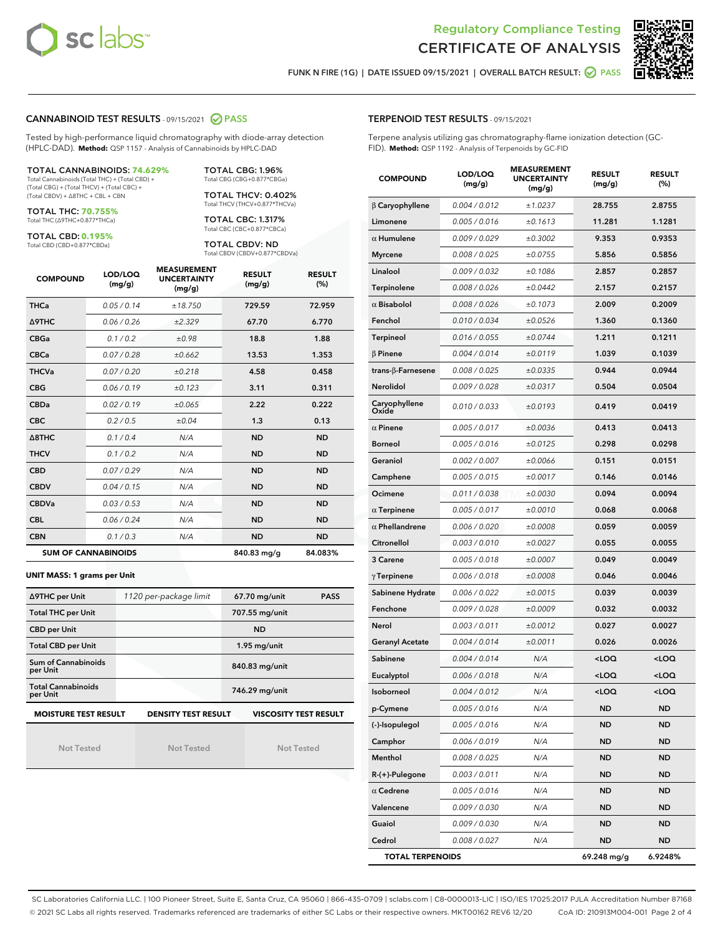



FUNK N FIRE (1G) | DATE ISSUED 09/15/2021 | OVERALL BATCH RESULT: @ PASS

#### CANNABINOID TEST RESULTS - 09/15/2021 2 PASS

Tested by high-performance liquid chromatography with diode-array detection (HPLC-DAD). **Method:** QSP 1157 - Analysis of Cannabinoids by HPLC-DAD

#### TOTAL CANNABINOIDS: **74.629%**

Total Cannabinoids (Total THC) + (Total CBD) + (Total CBG) + (Total THCV) + (Total CBC) + (Total CBDV) + ∆8THC + CBL + CBN

TOTAL THC: **70.755%** Total THC (∆9THC+0.877\*THCa)

TOTAL CBD: **0.195%**

Total CBD (CBD+0.877\*CBDa)

TOTAL CBG: 1.96% Total CBG (CBG+0.877\*CBGa)

TOTAL THCV: 0.402% Total THCV (THCV+0.877\*THCVa)

TOTAL CBC: 1.317% Total CBC (CBC+0.877\*CBCa)

TOTAL CBDV: ND Total CBDV (CBDV+0.877\*CBDVa)

| <b>COMPOUND</b>  | LOD/LOQ<br>(mg/g)          | <b>MEASUREMENT</b><br><b>UNCERTAINTY</b><br>(mg/g) | <b>RESULT</b><br>(mg/g) | <b>RESULT</b><br>(%) |
|------------------|----------------------------|----------------------------------------------------|-------------------------|----------------------|
| <b>THCa</b>      | 0.05 / 0.14                | ±18.750                                            | 729.59                  | 72.959               |
| <b>A9THC</b>     | 0.06 / 0.26                | ±2.329                                             | 67.70                   | 6.770                |
| <b>CBGa</b>      | 0.1 / 0.2                  | ±0.98                                              | 18.8                    | 1.88                 |
| <b>CBCa</b>      | 0.07 / 0.28                | ±0.662                                             | 13.53                   | 1.353                |
| <b>THCVa</b>     | 0.07/0.20                  | ±0.218                                             | 4.58                    | 0.458                |
| <b>CBG</b>       | 0.06/0.19                  | ±0.123                                             | 3.11                    | 0.311                |
| <b>CBDa</b>      | 0.02/0.19                  | ±0.065                                             | 2.22                    | 0.222                |
| <b>CBC</b>       | 0.2/0.5                    | ±0.04                                              | 1.3                     | 0.13                 |
| $\triangle$ 8THC | 0.1 / 0.4                  | N/A                                                | <b>ND</b>               | <b>ND</b>            |
| <b>THCV</b>      | 0.1/0.2                    | N/A                                                | <b>ND</b>               | <b>ND</b>            |
| <b>CBD</b>       | 0.07/0.29                  | N/A                                                | <b>ND</b>               | <b>ND</b>            |
| <b>CBDV</b>      | 0.04 / 0.15                | N/A                                                | <b>ND</b>               | <b>ND</b>            |
| <b>CBDVa</b>     | 0.03/0.53                  | N/A                                                | <b>ND</b>               | <b>ND</b>            |
| <b>CBL</b>       | 0.06 / 0.24                | N/A                                                | <b>ND</b>               | <b>ND</b>            |
| <b>CBN</b>       | 0.1/0.3                    | N/A                                                | <b>ND</b>               | <b>ND</b>            |
|                  | <b>SUM OF CANNABINOIDS</b> |                                                    | 840.83 mg/g             | 84.083%              |

#### **UNIT MASS: 1 grams per Unit**

| ∆9THC per Unit                        | 1120 per-package limit     | 67.70 mg/unit<br><b>PASS</b> |
|---------------------------------------|----------------------------|------------------------------|
| <b>Total THC per Unit</b>             |                            | 707.55 mg/unit               |
| <b>CBD per Unit</b>                   |                            | <b>ND</b>                    |
| <b>Total CBD per Unit</b>             |                            | $1.95$ mg/unit               |
| Sum of Cannabinoids<br>per Unit       |                            | 840.83 mg/unit               |
| <b>Total Cannabinoids</b><br>per Unit |                            | 746.29 mg/unit               |
| <b>MOISTURE TEST RESULT</b>           | <b>DENSITY TEST RESULT</b> | <b>VISCOSITY TEST RESULT</b> |

Not Tested

Not Tested

Not Tested

#### TERPENOID TEST RESULTS - 09/15/2021

Terpene analysis utilizing gas chromatography-flame ionization detection (GC-FID). **Method:** QSP 1192 - Analysis of Terpenoids by GC-FID

| <b>COMPOUND</b>         | LOD/LOQ<br>(mg/g) | <b>MEASUREMENT</b><br><b>UNCERTAINTY</b><br>(mg/g) | <b>RESULT</b><br>(mg/g)                         | <b>RESULT</b><br>$(\%)$ |
|-------------------------|-------------------|----------------------------------------------------|-------------------------------------------------|-------------------------|
| $\beta$ Caryophyllene   | 0.004 / 0.012     | ±1.0237                                            | 28.755                                          | 2.8755                  |
| Limonene                | 0.005 / 0.016     | ±0.1613                                            | 11.281                                          | 1.1281                  |
| $\alpha$ Humulene       | 0.009/0.029       | ±0.3002                                            | 9.353                                           | 0.9353                  |
| <b>Myrcene</b>          | 0.008 / 0.025     | ±0.0755                                            | 5.856                                           | 0.5856                  |
| Linalool                | 0.009 / 0.032     | ±0.1086                                            | 2.857                                           | 0.2857                  |
| Terpinolene             | 0.008 / 0.026     | ±0.0442                                            | 2.157                                           | 0.2157                  |
| $\alpha$ Bisabolol      | 0.008 / 0.026     | ±0.1073                                            | 2.009                                           | 0.2009                  |
| Fenchol                 | 0.010 / 0.034     | ±0.0526                                            | 1.360                                           | 0.1360                  |
| <b>Terpineol</b>        | 0.016 / 0.055     | ±0.0744                                            | 1.211                                           | 0.1211                  |
| $\beta$ Pinene          | 0.004 / 0.014     | ±0.0119                                            | 1.039                                           | 0.1039                  |
| trans-β-Farnesene       | 0.008 / 0.025     | ±0.0335                                            | 0.944                                           | 0.0944                  |
| Nerolidol               | 0.009 / 0.028     | ±0.0317                                            | 0.504                                           | 0.0504                  |
| Caryophyllene<br>Oxide  | 0.010 / 0.033     | ±0.0193                                            | 0.419                                           | 0.0419                  |
| $\alpha$ Pinene         | 0.005 / 0.017     | ±0.0036                                            | 0.413                                           | 0.0413                  |
| <b>Borneol</b>          | 0.005 / 0.016     | ±0.0125                                            | 0.298                                           | 0.0298                  |
| Geraniol                | 0.002 / 0.007     | ±0.0066                                            | 0.151                                           | 0.0151                  |
| Camphene                | 0.005 / 0.015     | ±0.0017                                            | 0.146                                           | 0.0146                  |
| Ocimene                 | 0.011 / 0.038     | ±0.0030                                            | 0.094                                           | 0.0094                  |
| $\alpha$ Terpinene      | 0.005 / 0.017     | ±0.0010                                            | 0.068                                           | 0.0068                  |
| $\alpha$ Phellandrene   | 0.006 / 0.020     | ±0.0008                                            | 0.059                                           | 0.0059                  |
| Citronellol             | 0.003 / 0.010     | ±0.0027                                            | 0.055                                           | 0.0055                  |
| 3 Carene                | 0.005 / 0.018     | ±0.0007                                            | 0.049                                           | 0.0049                  |
| $\gamma$ Terpinene      | 0.006 / 0.018     | ±0.0008                                            | 0.046                                           | 0.0046                  |
| Sabinene Hydrate        | 0.006 / 0.022     | ±0.0015                                            | 0.039                                           | 0.0039                  |
| Fenchone                | 0.009 / 0.028     | ±0.0009                                            | 0.032                                           | 0.0032                  |
| Nerol                   | 0.003 / 0.011     | ±0.0012                                            | 0.027                                           | 0.0027                  |
| <b>Geranyl Acetate</b>  | 0.004 / 0.014     | ±0.0011                                            | 0.026                                           | 0.0026                  |
| Sabinene                | 0.004 / 0.014     | N/A                                                | <loq< th=""><th><loq< th=""></loq<></th></loq<> | <loq< th=""></loq<>     |
| Eucalyptol              | 0.006 / 0.018     | N/A                                                | <loq< th=""><th><loq< th=""></loq<></th></loq<> | <loq< th=""></loq<>     |
| Isoborneol              | 0.004 / 0.012     | N/A                                                | <loq< th=""><th><loq< th=""></loq<></th></loq<> | <loq< th=""></loq<>     |
| p-Cymene                | 0.005 / 0.016     | N/A                                                | ND                                              | ND                      |
| (-)-Isopulegol          | 0.005 / 0.016     | N/A                                                | ND                                              | ND                      |
| Camphor                 | 0.006 / 0.019     | N/A                                                | ND                                              | ND                      |
| Menthol                 | 0.008 / 0.025     | N/A                                                | ND                                              | ND                      |
| R-(+)-Pulegone          | 0.003 / 0.011     | N/A                                                | ND                                              | ND                      |
| $\alpha$ Cedrene        | 0.005 / 0.016     | N/A                                                | ND                                              | ND                      |
| Valencene               | 0.009 / 0.030     | N/A                                                | ND                                              | ND                      |
| Guaiol                  | 0.009 / 0.030     | N/A                                                | ND                                              | ND                      |
| Cedrol                  | 0.008 / 0.027     | N/A                                                | ND                                              | ND                      |
| <b>TOTAL TERPENOIDS</b> |                   |                                                    | 69.248 mg/g                                     | 6.9248%                 |

SC Laboratories California LLC. | 100 Pioneer Street, Suite E, Santa Cruz, CA 95060 | 866-435-0709 | sclabs.com | C8-0000013-LIC | ISO/IES 17025:2017 PJLA Accreditation Number 87168 © 2021 SC Labs all rights reserved. Trademarks referenced are trademarks of either SC Labs or their respective owners. MKT00162 REV6 12/20 CoA ID: 210913M004-001 Page 2 of 4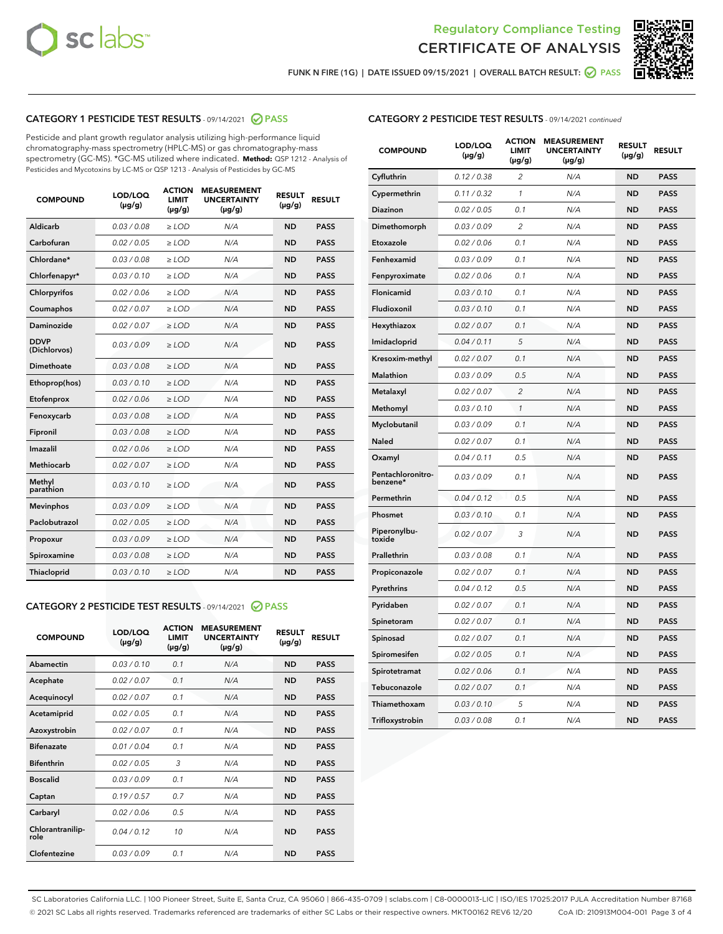



FUNK N FIRE (1G) | DATE ISSUED 09/15/2021 | OVERALL BATCH RESULT:  $\bigcirc$  PASS

#### CATEGORY 1 PESTICIDE TEST RESULTS - 09/14/2021 @ PASS

Pesticide and plant growth regulator analysis utilizing high-performance liquid chromatography-mass spectrometry (HPLC-MS) or gas chromatography-mass spectrometry (GC-MS). \*GC-MS utilized where indicated. **Method:** QSP 1212 - Analysis of Pesticides and Mycotoxins by LC-MS or QSP 1213 - Analysis of Pesticides by GC-MS

| <b>COMPOUND</b>             | LOD/LOQ<br>$(\mu g/g)$ | <b>ACTION</b><br><b>LIMIT</b><br>$(\mu g/g)$ | <b>MEASUREMENT</b><br><b>UNCERTAINTY</b><br>$(\mu g/g)$ | <b>RESULT</b><br>$(\mu g/g)$ | <b>RESULT</b> |
|-----------------------------|------------------------|----------------------------------------------|---------------------------------------------------------|------------------------------|---------------|
| Aldicarb                    | 0.03/0.08              | $>$ LOD                                      | N/A                                                     | <b>ND</b>                    | <b>PASS</b>   |
| Carbofuran                  | 0.02 / 0.05            | $\geq$ LOD                                   | N/A                                                     | <b>ND</b>                    | <b>PASS</b>   |
| Chlordane*                  | 0.03/0.08              | $>$ LOD                                      | N/A                                                     | <b>ND</b>                    | <b>PASS</b>   |
| Chlorfenapyr*               | 0.03/0.10              | $\geq$ LOD                                   | N/A                                                     | <b>ND</b>                    | <b>PASS</b>   |
| Chlorpyrifos                | 0.02 / 0.06            | $\geq$ LOD                                   | N/A                                                     | <b>ND</b>                    | <b>PASS</b>   |
| Coumaphos                   | 0.02 / 0.07            | $\ge$ LOD                                    | N/A                                                     | <b>ND</b>                    | <b>PASS</b>   |
| Daminozide                  | 0.02 / 0.07            | $\ge$ LOD                                    | N/A                                                     | <b>ND</b>                    | <b>PASS</b>   |
| <b>DDVP</b><br>(Dichlorvos) | 0.03/0.09              | $\ge$ LOD                                    | N/A                                                     | <b>ND</b>                    | <b>PASS</b>   |
| <b>Dimethoate</b>           | 0.03/0.08              | $\ge$ LOD                                    | N/A                                                     | <b>ND</b>                    | <b>PASS</b>   |
| Ethoprop(hos)               | 0.03/0.10              | $\ge$ LOD                                    | N/A                                                     | <b>ND</b>                    | <b>PASS</b>   |
| Etofenprox                  | 0.02 / 0.06            | $\ge$ LOD                                    | N/A                                                     | <b>ND</b>                    | <b>PASS</b>   |
| Fenoxycarb                  | 0.03/0.08              | $\ge$ LOD                                    | N/A                                                     | <b>ND</b>                    | <b>PASS</b>   |
| Fipronil                    | 0.03/0.08              | $>$ LOD                                      | N/A                                                     | <b>ND</b>                    | <b>PASS</b>   |
| Imazalil                    | 0.02 / 0.06            | $>$ LOD                                      | N/A                                                     | <b>ND</b>                    | <b>PASS</b>   |
| Methiocarb                  | 0.02 / 0.07            | $\ge$ LOD                                    | N/A                                                     | <b>ND</b>                    | <b>PASS</b>   |
| Methyl<br>parathion         | 0.03/0.10              | $\ge$ LOD                                    | N/A                                                     | <b>ND</b>                    | <b>PASS</b>   |
| <b>Mevinphos</b>            | 0.03/0.09              | $\ge$ LOD                                    | N/A                                                     | <b>ND</b>                    | <b>PASS</b>   |
| Paclobutrazol               | 0.02 / 0.05            | $>$ LOD                                      | N/A                                                     | <b>ND</b>                    | <b>PASS</b>   |
| Propoxur                    | 0.03/0.09              | $\ge$ LOD                                    | N/A                                                     | <b>ND</b>                    | <b>PASS</b>   |
| Spiroxamine                 | 0.03/0.08              | $\ge$ LOD                                    | N/A                                                     | <b>ND</b>                    | <b>PASS</b>   |
| Thiacloprid                 | 0.03/0.10              | $\ge$ LOD                                    | N/A                                                     | <b>ND</b>                    | <b>PASS</b>   |

#### CATEGORY 2 PESTICIDE TEST RESULTS - 09/14/2021 @ PASS

| <b>COMPOUND</b>          | LOD/LOQ<br>$(\mu g/g)$ | <b>ACTION</b><br><b>LIMIT</b><br>$(\mu g/g)$ | <b>MEASUREMENT</b><br><b>UNCERTAINTY</b><br>$(\mu g/g)$ | <b>RESULT</b><br>$(\mu g/g)$ | <b>RESULT</b> |
|--------------------------|------------------------|----------------------------------------------|---------------------------------------------------------|------------------------------|---------------|
| Abamectin                | 0.03/0.10              | 0.1                                          | N/A                                                     | <b>ND</b>                    | <b>PASS</b>   |
| Acephate                 | 0.02/0.07              | 0.1                                          | N/A                                                     | <b>ND</b>                    | <b>PASS</b>   |
| Acequinocyl              | 0.02/0.07              | 0.1                                          | N/A                                                     | <b>ND</b>                    | <b>PASS</b>   |
| Acetamiprid              | 0.02/0.05              | 0.1                                          | N/A                                                     | <b>ND</b>                    | <b>PASS</b>   |
| Azoxystrobin             | 0.02/0.07              | 0.1                                          | N/A                                                     | <b>ND</b>                    | <b>PASS</b>   |
| <b>Bifenazate</b>        | 0.01/0.04              | 0.1                                          | N/A                                                     | <b>ND</b>                    | <b>PASS</b>   |
| <b>Bifenthrin</b>        | 0.02 / 0.05            | 3                                            | N/A                                                     | <b>ND</b>                    | <b>PASS</b>   |
| <b>Boscalid</b>          | 0.03/0.09              | 0.1                                          | N/A                                                     | <b>ND</b>                    | <b>PASS</b>   |
| Captan                   | 0.19/0.57              | 0.7                                          | N/A                                                     | <b>ND</b>                    | <b>PASS</b>   |
| Carbaryl                 | 0.02/0.06              | 0.5                                          | N/A                                                     | <b>ND</b>                    | <b>PASS</b>   |
| Chlorantranilip-<br>role | 0.04/0.12              | 10                                           | N/A                                                     | <b>ND</b>                    | <b>PASS</b>   |
| Clofentezine             | 0.03/0.09              | 0.1                                          | N/A                                                     | <b>ND</b>                    | <b>PASS</b>   |

### CATEGORY 2 PESTICIDE TEST RESULTS - 09/14/2021 continued

| <b>COMPOUND</b>               | LOD/LOQ<br>(µg/g) | <b>ACTION</b><br>LIMIT<br>$(\mu g/g)$ | <b>MEASUREMENT</b><br><b>UNCERTAINTY</b><br>(µg/g) | <b>RESULT</b><br>(µg/g) | <b>RESULT</b> |
|-------------------------------|-------------------|---------------------------------------|----------------------------------------------------|-------------------------|---------------|
| Cyfluthrin                    | 0.12 / 0.38       | 2                                     | N/A                                                | ND                      | <b>PASS</b>   |
| Cypermethrin                  | 0.11 / 0.32       | $\mathbf{1}$                          | N/A                                                | ND                      | PASS          |
| Diazinon                      | 0.02 / 0.05       | 0.1                                   | N/A                                                | ND                      | PASS          |
| Dimethomorph                  | 0.03 / 0.09       | $\overline{2}$                        | N/A                                                | ND                      | <b>PASS</b>   |
| Etoxazole                     | 0.02 / 0.06       | 0.1                                   | N/A                                                | ND                      | PASS          |
| Fenhexamid                    | 0.03 / 0.09       | 0.1                                   | N/A                                                | ND                      | PASS          |
| Fenpyroximate                 | 0.02 / 0.06       | 0.1                                   | N/A                                                | ND                      | <b>PASS</b>   |
| Flonicamid                    | 0.03 / 0.10       | 0.1                                   | N/A                                                | ND                      | <b>PASS</b>   |
| Fludioxonil                   | 0.03 / 0.10       | 0.1                                   | N/A                                                | ND                      | PASS          |
| Hexythiazox                   | 0.02 / 0.07       | 0.1                                   | N/A                                                | <b>ND</b>               | <b>PASS</b>   |
| Imidacloprid                  | 0.04 / 0.11       | 5                                     | N/A                                                | ND                      | <b>PASS</b>   |
| Kresoxim-methyl               | 0.02 / 0.07       | 0.1                                   | N/A                                                | ND                      | <b>PASS</b>   |
| Malathion                     | 0.03 / 0.09       | 0.5                                   | N/A                                                | ND                      | <b>PASS</b>   |
| Metalaxyl                     | 0.02 / 0.07       | $\overline{c}$                        | N/A                                                | <b>ND</b>               | <b>PASS</b>   |
| Methomyl                      | 0.03 / 0.10       | $\mathcal{I}$                         | N/A                                                | <b>ND</b>               | <b>PASS</b>   |
| Myclobutanil                  | 0.03 / 0.09       | 0.1                                   | N/A                                                | <b>ND</b>               | <b>PASS</b>   |
| Naled                         | 0.02 / 0.07       | 0.1                                   | N/A                                                | ND                      | <b>PASS</b>   |
| Oxamyl                        | 0.04 / 0.11       | 0.5                                   | N/A                                                | ND                      | PASS          |
| Pentachloronitro-<br>benzene* | 0.03 / 0.09       | 0.1                                   | N/A                                                | ND                      | <b>PASS</b>   |
| Permethrin                    | 0.04 / 0.12       | 0.5                                   | N/A                                                | <b>ND</b>               | <b>PASS</b>   |
| Phosmet                       | 0.03 / 0.10       | 0.1                                   | N/A                                                | <b>ND</b>               | <b>PASS</b>   |
| Piperonylbu-<br>toxide        | 0.02 / 0.07       | 3                                     | N/A                                                | ND                      | <b>PASS</b>   |
| Prallethrin                   | 0.03 / 0.08       | 0.1                                   | N/A                                                | <b>ND</b>               | <b>PASS</b>   |
| Propiconazole                 | 0.02 / 0.07       | 0.1                                   | N/A                                                | ND                      | <b>PASS</b>   |
| Pyrethrins                    | 0.04 / 0.12       | 0.5                                   | N/A                                                | ND                      | PASS          |
| Pyridaben                     | 0.02 / 0.07       | 0.1                                   | N/A                                                | ND                      | <b>PASS</b>   |
| Spinetoram                    | 0.02 / 0.07       | 0.1                                   | N/A                                                | ND                      | PASS          |
| Spinosad                      | 0.02 / 0.07       | 0.1                                   | N/A                                                | ND                      | PASS          |
| Spiromesifen                  | 0.02 / 0.05       | 0.1                                   | N/A                                                | <b>ND</b>               | <b>PASS</b>   |
| Spirotetramat                 | 0.02 / 0.06       | 0.1                                   | N/A                                                | ND                      | <b>PASS</b>   |
| Tebuconazole                  | 0.02 / 0.07       | 0.1                                   | N/A                                                | ND                      | PASS          |
| Thiamethoxam                  | 0.03 / 0.10       | 5                                     | N/A                                                | ND                      | <b>PASS</b>   |
| Trifloxystrobin               | 0.03 / 0.08       | 0.1                                   | N/A                                                | <b>ND</b>               | <b>PASS</b>   |

SC Laboratories California LLC. | 100 Pioneer Street, Suite E, Santa Cruz, CA 95060 | 866-435-0709 | sclabs.com | C8-0000013-LIC | ISO/IES 17025:2017 PJLA Accreditation Number 87168 © 2021 SC Labs all rights reserved. Trademarks referenced are trademarks of either SC Labs or their respective owners. MKT00162 REV6 12/20 CoA ID: 210913M004-001 Page 3 of 4